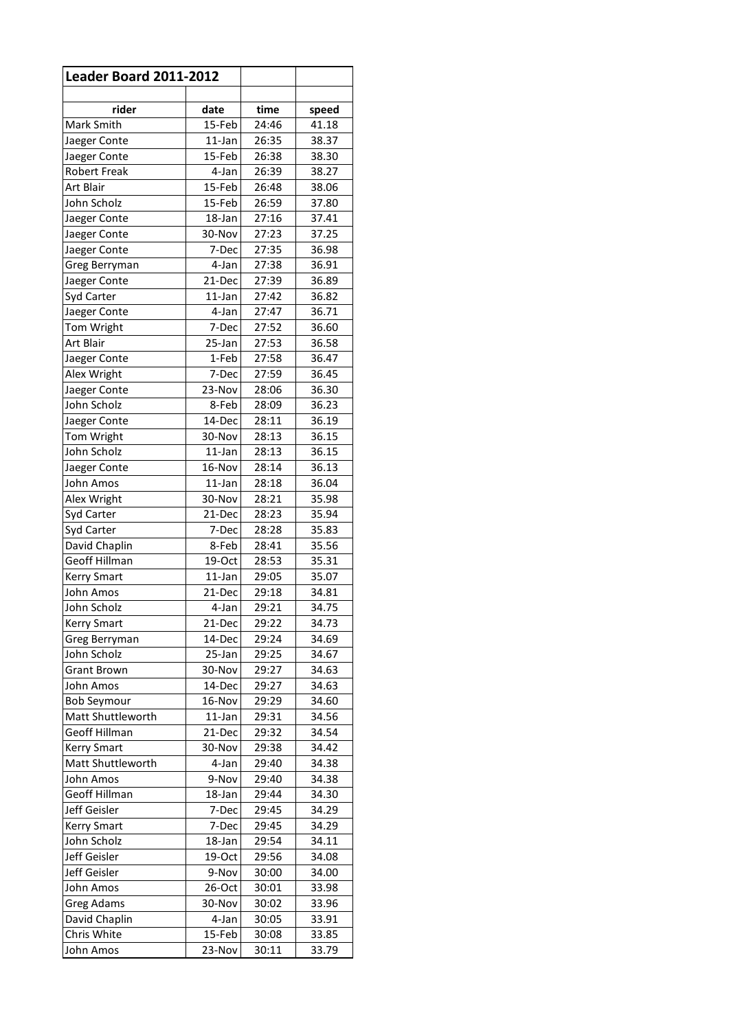| <b>Leader Board 2011-2012</b> |                  |                |                |
|-------------------------------|------------------|----------------|----------------|
| rider                         | date             | time           | speed          |
| Mark Smith                    | 15-Feb           | 24:46          | 41.18          |
| Jaeger Conte                  | 11-Jan           | 26:35          | 38.37          |
| Jaeger Conte                  | 15-Feb           | 26:38          | 38.30          |
| <b>Robert Freak</b>           | 4-Jan            | 26:39          | 38.27          |
| <b>Art Blair</b>              | 15-Feb           | 26:48          | 38.06          |
| John Scholz                   | 15-Feb           | 26:59          | 37.80          |
| Jaeger Conte                  | 18-Jan           | 27:16          | 37.41          |
| Jaeger Conte                  | 30-Nov           | 27:23          | 37.25          |
| Jaeger Conte                  | 7-Dec            | 27:35          | 36.98          |
| Greg Berryman                 | 4-Jan            | 27:38          | 36.91          |
| Jaeger Conte                  | 21-Dec           | 27:39          | 36.89          |
| Syd Carter                    | 11-Jan           | 27:42          | 36.82          |
| Jaeger Conte                  | 4-Jan            | 27:47          | 36.71          |
| Tom Wright                    | 7-Dec            | 27:52          | 36.60          |
| Art Blair                     | 25-Jan           | 27:53          | 36.58          |
| Jaeger Conte                  | 1-Feb            | 27:58          | 36.47          |
| Alex Wright                   | 7-Dec            | 27:59          | 36.45          |
| Jaeger Conte                  | 23-Nov           | 28:06          | 36.30          |
| John Scholz                   | 8-Feb            | 28:09          | 36.23          |
| Jaeger Conte                  | 14-Dec           | 28:11          | 36.19          |
| Tom Wright                    | 30-Nov           | 28:13          | 36.15          |
| John Scholz                   | $11$ -Jan        | 28:13          | 36.15          |
| Jaeger Conte                  | 16-Nov           | 28:14          | 36.13          |
| John Amos                     | 11-Jan           | 28:18          | 36.04          |
| Alex Wright                   | 30-Nov           | 28:21          | 35.98          |
| Syd Carter                    | 21-Dec           | 28:23          | 35.94          |
| Syd Carter                    | 7-Dec            | 28:28          | 35.83          |
| David Chaplin                 | 8-Feb            | 28:41          | 35.56          |
| <b>Geoff Hillman</b>          | 19-Oct           | 28:53          | 35.31          |
| <b>Kerry Smart</b>            | $11$ -Jan        | 29:05          | 35.07          |
| John Amos                     | 21-Dec           | 29:18          | 34.81          |
| John Scholz                   | 4-Jan            | 29:21          | 34.75          |
| <b>Kerry Smart</b>            | 21-Dec           | 29:22          | 34.73          |
| Greg Berryman                 | 14-Dec           | 29:24          | 34.69          |
| John Scholz                   | 25-Jan           | 29:25          | 34.67          |
| <b>Grant Brown</b>            | 30-Nov           | 29:27          | 34.63          |
| John Amos                     | 14-Dec           | 29:27          | 34.63          |
| <b>Bob Seymour</b>            | 16-Nov           | 29:29          | 34.60          |
| Matt Shuttleworth             | 11-Jan           | 29:31          | 34.56          |
| <b>Geoff Hillman</b>          | 21-Dec           | 29:32          | 34.54          |
| <b>Kerry Smart</b>            | 30-Nov           | 29:38          | 34.42          |
| Matt Shuttleworth             | 4-Jan            | 29:40          | 34.38          |
| John Amos                     | 9-Nov            | 29:40          | 34.38          |
| Geoff Hillman                 | 18-Jan           | 29:44          | 34.30          |
| Jeff Geisler                  | 7-Dec            | 29:45          | 34.29          |
| <b>Kerry Smart</b>            | 7-Dec            | 29:45          | 34.29          |
| John Scholz                   | 18-Jan           | 29:54          | 34.11          |
| Jeff Geisler                  | 19-Oct           | 29:56          | 34.08          |
| Jeff Geisler                  | 9-Nov            | 30:00          | 34.00          |
| John Amos                     | 26-Oct           | 30:01          | 33.98          |
| <b>Greg Adams</b>             | 30-Nov           | 30:02          | 33.96          |
| David Chaplin<br>Chris White  | 4-Jan            | 30:05          | 33.91          |
| John Amos                     | 15-Feb<br>23-Nov | 30:08<br>30:11 | 33.85<br>33.79 |
|                               |                  |                |                |